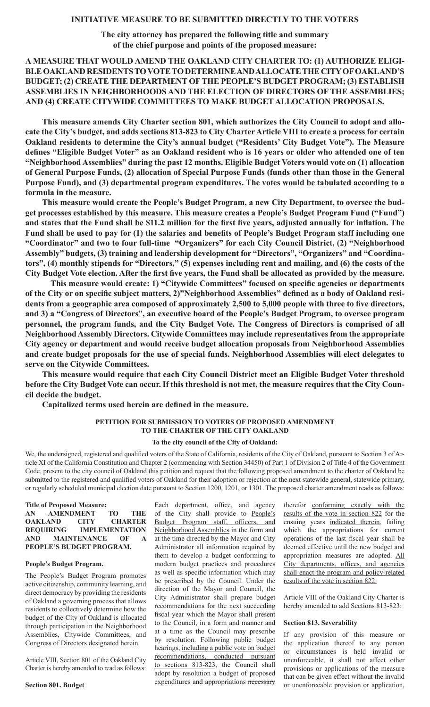**The city attorney has prepared the following title and summary of the chief purpose and points of the proposed measure:**

# **A MEASURE THAT WOULD AMEND THE OAKLAND CITY CHARTER TO: (1) AUTHORIZE ELIGI-BLE OAKLAND RESIDENTS TO VOTE TO DETERMINE AND ALLOCATE THE CITY OF OAKLAND'S BUDGET; (2) CREATE THE DEPARTMENT OF THE PEOPLE'S BUDGET PROGRAM; (3) ESTABLISH ASSEMBLIES IN NEIGHBORHOODS AND THE ELECTION OF DIRECTORS OF THE ASSEMBLIES; AND (4) CREATE CITYWIDE COMMITTEES TO MAKE BUDGET ALLOCATION PROPOSALS.**

**This measure amends City Charter section 801, which authorizes the City Council to adopt and allocate the City's budget, and adds sections 813-823 to City Charter Article VIII to create a process for certain Oakland residents to determine the City's annual budget ("Residents' City Budget Vote"). The Measure defines "Eligible Budget Voter" as an Oakland resident who is 16 years or older who attended one of ten "Neighborhood Assemblies" during the past 12 months. Eligible Budget Voters would vote on (1) allocation of General Purpose Funds, (2) allocation of Special Purpose Funds (funds other than those in the General Purpose Fund), and (3) departmental program expenditures. The votes would be tabulated according to a formula in the measure.**

**This measure would create the People's Budget Program, a new City Department, to oversee the budget processes established by this measure. This measure creates a People's Budget Program Fund ("Fund") and states that the Fund shall be \$11.2 million for the first five years, adjusted annually for inflation. The Fund shall be used to pay for (1) the salaries and benefits of People's Budget Program staff including one "Coordinator" and two to four full-time "Organizers" for each City Council District, (2) "Neighborhood Assembly" budgets, (3) training and leadership development for "Directors", "Organizers" and "Coordinators", (4) monthly stipends for "Directors," (5) expenses including rent and mailing, and (6) the costs of the City Budget Vote election. After the first five years, the Fund shall be allocated as provided by the measure.**

**This measure would create: 1) "Citywide Committees" focused on specific agencies or departments of the City or on specific subject matters, 2)"Neighborhood Assemblies" defined as a body of Oakland residents from a geographic area composed of approximately 2,500 to 5,000 people with three to five directors, and 3) a "Congress of Directors", an executive board of the People's Budget Program, to oversee program personnel, the program funds, and the City Budget Vote. The Congress of Directors is comprised of all Neighborhood Assembly Directors. Citywide Committees may include representatives from the appropriate City agency or department and would receive budget allocation proposals from Neighborhood Assemblies and create budget proposals for the use of special funds. Neighborhood Assemblies will elect delegates to serve on the Citywide Committees.** 

**This measure would require that each City Council District meet an Eligible Budget Voter threshold before the City Budget Vote can occur. If this threshold is not met, the measure requires that the City Council decide the budget.**

**Capitalized terms used herein are defined in the measure.**

# **PETITION FOR SUBMISSION TO VOTERS OF PROPOSED AMENDMENT TO THE CHARTER OF THE CITY OAKLAND**

#### **To the city council of the City of Oakland:**

We, the undersigned, registered and qualified voters of the State of California, residents of the City of Oakland, pursuant to Section 3 of Article XI of the California Constitution and Chapter 2 (commencing with Section 34450) of Part 1 of Division 2 of Title 4 of the Government Code, present to the city council of Oakland this petition and request that the following proposed amendment to the charter of Oakland be submitted to the registered and qualified voters of Oakland for their adoption or rejection at the next statewide general, statewide primary, or regularly scheduled municipal election date pursuant to Section 1200, 1201, or 1301. The proposed charter amendment reads as follows:

|                | <b>Title of Proposed Measure:</b> |     |              |
|----------------|-----------------------------------|-----|--------------|
|                | AN AMENDMENT                      | TO. | <b>THE</b>   |
| <b>OAKLAND</b> | <b>CITY CHARTER</b>               |     |              |
|                | REQUIRING IMPLEMENTATION          |     |              |
|                | AND MAINTENANCE OF                |     | $\mathbf{A}$ |
|                | PEOPLE'S BUDGET PROGRAM.          |     |              |

#### **People's Budget Program.**

The People's Budget Program promotes active citizenship, community learning, and direct democracy by providing the residents of Oakland a governing process that allows residents to collectively determine how the budget of the City of Oakland is allocated through participation in the Neighborhood Assemblies, Citywide Committees, and Congress of Directors designated herein.

Article VIII, Section 801 of the Oakland City Charter is hereby amended to read as follows:

**Section 801. Budget**

Each department, office, and agency of the City shall provide to People's Budget Program staff, officers, and Neighborhood Assemblies in the form and at the time directed by the Mayor and City Administrator all information required by them to develop a budget conforming to modern budget practices and procedures as well as specific information which may be prescribed by the Council. Under the direction of the Mayor and Council, the City Administrator shall prepare budget recommendations for the next succeeding fiscal year which the Mayor shall present to the Council, in a form and manner and at a time as the Council may prescribe by resolution. Following public budget hearings, including a public vote on budget recommendations, conducted pursuant to sections 813-823, the Council shall adopt by resolution a budget of proposed expenditures and appropriations necessary

therefor conforming exactly with the results of the vote in section 822 for the ensuing years indicated therein, failing which the appropriations for current operations of the last fiscal year shall be deemed effective until the new budget and appropriation measures are adopted. All City departments, offices, and agencies shall enact the program and policy-related results of the vote in section 822.

Article VIII of the Oakland City Charter is hereby amended to add Sections 813-823:

#### **Section 813. Severability**

If any provision of this measure or the application thereof to any person or circumstances is held invalid or unenforceable, it shall not affect other provisions or applications of the measure that can be given effect without the invalid or unenforceable provision or application,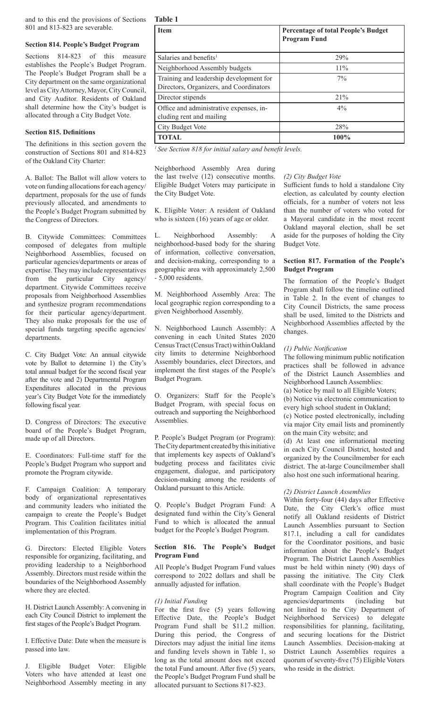and to this end the provisions of Sections **Table 1** 801 and 813-823 are severable.

### **Section 814. People's Budget Program**

Sections 814-823 of this measure establishes the People's Budget Program. The People's Budget Program shall be a City department on the same organizational level as City Attorney, Mayor, City Council, and City Auditor. Residents of Oakland shall determine how the City's budget is allocated through a City Budget Vote.

#### **Section 815. Definitions**

The definitions in this section govern the construction of Sections 801 and 814-823 of the Oakland City Charter:

A. Ballot: The Ballot will allow voters to vote on funding allocations for each agency/ department, proposals for the use of funds previously allocated, and amendments to the People's Budget Program submitted by the Congress of Directors.

B. Citywide Committees: Committees composed of delegates from multiple Neighborhood Assemblies, focused on particular agencies/departments or areas of expertise. They may include representatives from the particular City agency/ department. Citywide Committees receive proposals from Neighborhood Assemblies and synthesize program recommendations for their particular agency/department. They also make proposals for the use of special funds targeting specific agencies/ departments.

C. City Budget Vote: An annual citywide vote by Ballot to determine 1) the City's total annual budget for the second fiscal year after the vote and 2) Departmental Program Expenditures allocated in the previous year's City Budget Vote for the immediately following fiscal year.

D. Congress of Directors: The executive board of the People's Budget Program, made up of all Directors.

E. Coordinators: Full-time staff for the People's Budget Program who support and promote the Program citywide.

F. Campaign Coalition: A temporary body of organizational representatives and community leaders who initiated the campaign to create the People's Budget Program. This Coalition facilitates initial implementation of this Program.

G. Directors: Elected Eligible Voters responsible for organizing, facilitating, and providing leadership to a Neighborhood Assembly. Directors must reside within the boundaries of the Neighborhood Assembly where they are elected.

H. District Launch Assembly: A convening in each City Council District to implement the first stages of the People's Budget Program.

I. Effective Date: Date when the measure is passed into law.

J. Eligible Budget Voter: Eligible Voters who have attended at least one Neighborhood Assembly meeting in any

| <b>Item</b>                                                                        | <b>Percentage of total People's Budget</b><br><b>Program Fund</b> |
|------------------------------------------------------------------------------------|-------------------------------------------------------------------|
| Salaries and benefits <sup>1</sup>                                                 | 29%                                                               |
| Neighborhood Assembly budgets                                                      | $11\%$                                                            |
| Training and leadership development for<br>Directors, Organizers, and Coordinators | $7\%$                                                             |
| Director stipends                                                                  | 21%                                                               |
| Office and administrative expenses, in-<br>cluding rent and mailing                | $4\%$                                                             |
| City Budget Vote                                                                   | 28%                                                               |
| <b>TOTAL</b>                                                                       | 100%                                                              |

*1 See Section 818 for initial salary and benefit levels.*

Neighborhood Assembly Area during the last twelve (12) consecutive months. Eligible Budget Voters may participate in the City Budget Vote.

K. Eligible Voter: A resident of Oakland who is sixteen (16) years of age or older.

L. Neighborhood Assembly: A neighborhood-based body for the sharing of information, collective conversation, and decision-making, corresponding to a geographic area with approximately 2,500 - 5,000 residents.

M. Neighborhood Assembly Area: The local geographic region corresponding to a given Neighborhood Assembly.

N. Neighborhood Launch Assembly: A convening in each United States 2020 Census Tract (Census Tract) within Oakland city limits to determine Neighborhood Assembly boundaries, elect Directors, and implement the first stages of the People's Budget Program.

O. Organizers: Staff for the People's Budget Program, with special focus on outreach and supporting the Neighborhood Assemblies.

P. People's Budget Program (or Program): The City department created by this initiative that implements key aspects of Oakland's budgeting process and facilitates civic engagement, dialogue, and participatory decision-making among the residents of Oakland pursuant to this Article.

Q. People's Budget Program Fund: A designated fund within the City's General Fund to which is allocated the annual budget for the People's Budget Program.

### **Section 816. The People's Budget Program Fund**

All People's Budget Program Fund values correspond to 2022 dollars and shall be annually adjusted for inflation.

#### *(1) Initial Funding*

For the first five (5) years following Effective Date, the People's Budget Program Fund shall be \$11.2 million. During this period, the Congress of Directors may adjust the initial line items and funding levels shown in Table 1, so long as the total amount does not exceed the total Fund amount. After five (5) years, the People's Budget Program Fund shall be allocated pursuant to Sections 817-823.

#### *(2) City Budget Vote*

Sufficient funds to hold a standalone City election, as calculated by county election officials, for a number of voters not less than the number of voters who voted for a Mayoral candidate in the most recent Oakland mayoral election, shall be set aside for the purposes of holding the City Budget Vote.

### **Section 817. Formation of the People's Budget Program**

The formation of the People's Budget Program shall follow the timeline outlined in Table 2. In the event of changes to City Council Districts, the same process shall be used, limited to the Districts and Neighborhood Assemblies affected by the changes.

#### *(1) Public Notification*

The following minimum public notification practices shall be followed in advance of the District Launch Assemblies and Neighborhood Launch Assemblies: (a) Notice by mail to all Eligible Voters; (b) Notice via electronic communication to

every high school student in Oakland; (c) Notice posted electronically, including

via major City email lists and prominently on the main City website; and

(d) At least one informational meeting in each City Council District, hosted and organized by the Councilmember for each district. The at-large Councilmember shall also host one such informational hearing.

#### *(2) District Launch Assemblies*

Within forty-four (44) days after Effective Date, the City Clerk's office must notify all Oakland residents of District Launch Assemblies pursuant to Section 817.1, including a call for candidates for the Coordinator positions, and basic information about the People's Budget Program. The District Launch Assemblies must be held within ninety (90) days of passing the initiative. The City Clerk shall coordinate with the People's Budget Program Campaign Coalition and City agencies/departments (including but not limited to the City Department of Neighborhood Services) to delegate responsibilities for planning, facilitating, and securing locations for the District Launch Assemblies. Decision-making at District Launch Assemblies requires a quorum of seventy-five (75) Eligible Voters who reside in the district.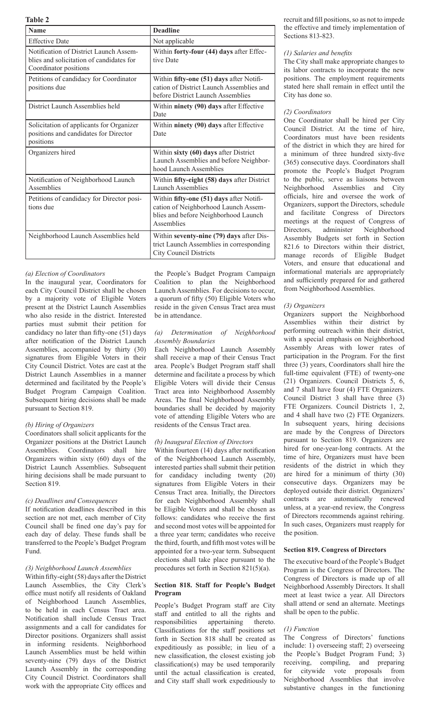**Table 2**

| <b>Name</b>                                                                                                 | <b>Deadline</b>                                                                                                                        |
|-------------------------------------------------------------------------------------------------------------|----------------------------------------------------------------------------------------------------------------------------------------|
| <b>Effective Date</b>                                                                                       | Not applicable                                                                                                                         |
| Notification of District Launch Assem-<br>blies and solicitation of candidates for<br>Coordinator positions | Within forty-four (44) days after Effec-<br>tive Date                                                                                  |
| Petitions of candidacy for Coordinator<br>positions due                                                     | Within fifty-one (51) days after Notifi-<br>cation of District Launch Assemblies and<br>before District Launch Assemblies              |
| District Launch Assemblies held                                                                             | Within ninety (90) days after Effective<br>Date                                                                                        |
| Solicitation of applicants for Organizer<br>positions and candidates for Director<br>positions              | Within ninety (90) days after Effective<br>Date                                                                                        |
| Organizers hired                                                                                            | Within sixty (60) days after District<br>Launch Assemblies and before Neighbor-<br>hood Launch Assemblies                              |
| Notification of Neighborhood Launch<br>Assemblies                                                           | Within fifty-eight (58) days after District<br>Launch Assemblies                                                                       |
| Petitions of candidacy for Director posi-<br>tions due                                                      | Within fifty-one (51) days after Notifi-<br>cation of Neighborhood Launch Assem-<br>blies and before Neighborhood Launch<br>Assemblies |
| Neighborhood Launch Assemblies held                                                                         | Within seventy-nine (79) days after Dis-<br>trict Launch Assemblies in corresponding<br><b>City Council Districts</b>                  |

## *(a) Election of Coordinators*

In the inaugural year, Coordinators for each City Council District shall be chosen by a majority vote of Eligible Voters present at the District Launch Assemblies who also reside in the district. Interested parties must submit their petition for candidacy no later than fifty-one (51) days after notification of the District Launch Assemblies, accompanied by thirty (30) signatures from Eligible Voters in their City Council District. Votes are cast at the District Launch Assemblies in a manner determined and facilitated by the People's Budget Program Campaign Coalition. Subsequent hiring decisions shall be made pursuant to Section 819.

## *(b) Hiring of Organizers*

Coordinators shall solicit applicants for the Organizer positions at the District Launch Assemblies. Coordinators shall hire Organizers within sixty (60) days of the District Launch Assemblies. Subsequent hiring decisions shall be made pursuant to Section 819.

### *(c) Deadlines and Consequences*

If notification deadlines described in this section are not met, each member of City Council shall be fined one day's pay for each day of delay. These funds shall be transferred to the People's Budget Program Fund.

### *(3) Neighborhood Launch Assemblies*

Within fifty-eight (58) days after the District Launch Assemblies, the City Clerk's office must notify all residents of Oakland of Neighborhood Launch Assemblies, to be held in each Census Tract area. Notification shall include Census Tract assignments and a call for candidates for Director positions. Organizers shall assist in informing residents. Neighborhood Launch Assemblies must be held within seventy-nine (79) days of the District Launch Assembly in the corresponding City Council District. Coordinators shall work with the appropriate City offices and

the People's Budget Program Campaign Coalition to plan the Neighborhood Launch Assemblies. For decisions to occur, a quorum of fifty (50) Eligible Voters who reside in the given Census Tract area must be in attendance.

### *(a) Determination of Neighborhood Assembly Boundaries*

Each Neighborhood Launch Assembly shall receive a map of their Census Tract area. People's Budget Program staff shall determine and facilitate a process by which Eligible Voters will divide their Census Tract area into Neighborhood Assembly Areas. The final Neighborhood Assembly boundaries shall be decided by majority vote of attending Eligible Voters who are residents of the Census Tract area.

### *(b) Inaugural Election of Directors*

Within fourteen (14) days after notification of the Neighborhood Launch Assembly, interested parties shall submit their petition for candidacy including twenty (20) signatures from Eligible Voters in their Census Tract area. Initially, the Directors for each Neighborhood Assembly shall be Eligible Voters and shall be chosen as follows: candidates who receive the first and second most votes will be appointed for a three year term; candidates who receive the third, fourth, and fifth most votes will be appointed for a two-year term. Subsequent elections shall take place pursuant to the procedures set forth in Section 821(5)(a).

### **Section 818. Staff for People's Budget Program**

People's Budget Program staff are City staff and entitled to all the rights and<br>responsibilities appertaining thereto. appertaining thereto. Classifications for the staff positions set forth in Section 818 shall be created as expeditiously as possible; in lieu of a new classification, the closest existing job classification(s) may be used temporarily until the actual classification is created, and City staff shall work expeditiously to

recruit and fill positions, so as not to impede the effective and timely implementation of Sections 813-823.

### *(1) Salaries and benefits*

The City shall make appropriate changes to its labor contracts to incorporate the new positions. The employment requirements stated here shall remain in effect until the City has done so.

### *(2) Coordinators*

One Coordinator shall be hired per City Council District. At the time of hire, Coordinators must have been residents of the district in which they are hired for a minimum of three hundred sixty-five (365) consecutive days. Coordinators shall promote the People's Budget Program to the public, serve as liaisons between Neighborhood Assemblies and City officials, hire and oversee the work of Organizers, support the Directors, schedule and facilitate Congress of Directors meetings at the request of Congress of Directors, administer Neighborhood Assembly Budgets set forth in Section 821.6 to Directors within their district, manage records of Eligible Budget Voters, and ensure that educational and informational materials are appropriately and sufficiently prepared for and gathered from Neighborhood Assemblies.

### *(3) Organizers*

Organizers support the Neighborhood Assemblies within their district by performing outreach within their district, with a special emphasis on Neighborhood Assembly Areas with lower rates of participation in the Program. For the first three (3) years, Coordinators shall hire the full-time equivalent (FTE) of twenty-one (21) Organizers. Council Districts 5, 6, and 7 shall have four (4) FTE Organizers. Council District 3 shall have three (3) FTE Organizers. Council Districts 1, 2, and 4 shall have two (2) FTE Organizers. In subsequent years, hiring decisions are made by the Congress of Directors pursuant to Section 819. Organizers are hired for one-year-long contracts. At the time of hire, Organizers must have been residents of the district in which they are hired for a minimum of thirty (30) consecutive days. Organizers may be deployed outside their district. Organizers' contracts are automatically renewed unless, at a year-end review, the Congress of Directors recommends against rehiring. In such cases, Organizers must reapply for the position.

### **Section 819. Congress of Directors**

The executive board of the People's Budget Program is the Congress of Directors. The Congress of Directors is made up of all Neighborhood Assembly Directors. It shall meet at least twice a year. All Directors shall attend or send an alternate. Meetings shall be open to the public.

### *(1) Function*

The Congress of Directors' functions include: 1) overseeing staff; 2) overseeing the People's Budget Program Fund; 3) receiving, compiling, and preparing for citywide vote proposals from Neighborhood Assemblies that involve substantive changes in the functioning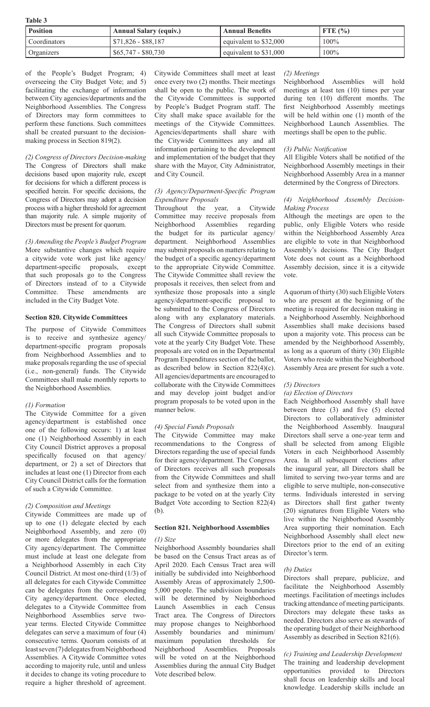| v<br>×<br>٧ |  |
|-------------|--|
|-------------|--|

| <b>Position</b> | <b>Annual Salary (equiv.)</b> | <b>Annual Benefits</b> | FTE $\left(\frac{9}{6}\right)$ |
|-----------------|-------------------------------|------------------------|--------------------------------|
| Coordinators    | $$71,826 - $88,187$           | equivalent to \$32,000 | $100\%$                        |
| Organizers      | $$65,747 - $80,730$           | equivalent to \$31,000 | $100\%$                        |

of the People's Budget Program; 4) overseeing the City Budget Vote; and 5) facilitating the exchange of information between City agencies/departments and the Neighborhood Assemblies. The Congress of Directors may form committees to perform these functions. Such committees shall be created pursuant to the decisionmaking process in Section 819(2).

*(2) Congress of Directors Decision-making* The Congress of Directors shall make decisions based upon majority rule, except for decisions for which a different process is specified herein. For specific decisions, the Congress of Directors may adopt a decision process with a higher threshold for agreement than majority rule. A simple majority of Directors must be present for quorum.

*(3) Amending the People's Budget Program* More substantive changes which require a citywide vote work just like agency/ department-specific proposals, except that such proposals go to the Congress of Directors instead of to a Citywide Committee. These amendments are included in the City Budget Vote.

### **Section 820. Citywide Committees**

The purpose of Citywide Committees is to receive and synthesize agency/ department-specific program proposals from Neighborhood Assemblies and to make proposals regarding the use of special (i.e., non-general) funds. The Citywide Committees shall make monthly reports to the Neighborhood Assemblies.

### *(1) Formation*

The Citywide Committee for a given agency/department is established once one of the following occurs: 1) at least one (1) Neighborhood Assembly in each City Council District approves a proposal specifically focused on that agency/ department, or 2) a set of Directors that includes at least one (1) Director from each City Council District calls for the formation of such a Citywide Committee.

### *(2) Composition and Meetings*

Citywide Committees are made up of up to one (1) delegate elected by each Neighborhood Assembly, and zero (0) or more delegates from the appropriate City agency/department. The Committee must include at least one delegate from a Neighborhood Assembly in each City Council District. At most one-third (1/3) of all delegates for each Citywide Committee can be delegates from the corresponding City agency/department. Once elected, delegates to a Citywide Committee from Neighborhood Assemblies serve twoyear terms. Elected Citywide Committee delegates can serve a maximum of four (4) consecutive terms. Quorum consists of at least seven (7) delegates from Neighborhood Assemblies. A Citywide Committee votes according to majority rule, until and unless it decides to change its voting procedure to require a higher threshold of agreement.

Citywide Committees shall meet at least once every two (2) months. Their meetings shall be open to the public. The work of the Citywide Committees is supported by People's Budget Program staff. The City shall make space available for the meetings of the Citywide Committees. Agencies/departments shall share with the Citywide Committees any and all information pertaining to the development and implementation of the budget that they share with the Mayor, City Administrator, and City Council.

#### *(3) Agency/Department-Specific Program Expenditure Proposals*

Throughout the year, a Citywide Committee may receive proposals from Neighborhood Assemblies regarding the budget for its particular agency/ department. Neighborhood Assemblies may submit proposals on matters relating to the budget of a specific agency/department to the appropriate Citywide Committee. The Citywide Committee shall review the proposals it receives, then select from and synthesize those proposals into a single agency/department-specific proposal to be submitted to the Congress of Directors along with any explanatory materials. The Congress of Directors shall submit all such Citywide Committee proposals to vote at the yearly City Budget Vote. These proposals are voted on in the Departmental Program Expenditures section of the ballot, as described below in Section 822(4)(c). All agencies/departments are encouraged to collaborate with the Citywide Committees and may develop joint budget and/or program proposals to be voted upon in the manner below.

### *(4) Special Funds Proposals*

The Citywide Committee may make recommendations to the Congress of Directors regarding the use of special funds for their agency/department. The Congress of Directors receives all such proposals from the Citywide Committees and shall select from and synthesize them into a package to be voted on at the yearly City Budget Vote according to Section 822(4) (b).

# **Section 821. Neighborhood Assemblies**

# *(1) Size*

Neighborhood Assembly boundaries shall be based on the Census Tract areas as of April 2020. Each Census Tract area will initially be subdivided into Neighborhood Assembly Areas of approximately 2,500- 5,000 people. The subdivision boundaries will be determined by Neighborhood Launch Assemblies in each Census Tract area. The Congress of Directors may propose changes to Neighborhood Assembly boundaries and minimum/ maximum population thresholds for Neighborhood Assemblies. Proposals will be voted on at the Neighborhood Assemblies during the annual City Budget Vote described below.

### *(2) Meetings*

Neighborhood Assemblies will hold meetings at least ten (10) times per year during ten (10) different months. The first Neighborhood Assembly meetings will be held within one (1) month of the Neighborhood Launch Assemblies. The meetings shall be open to the public.

### *(3) Public Notification*

All Eligible Voters shall be notified of the Neighborhood Assembly meetings in their Neighborhood Assembly Area in a manner determined by the Congress of Directors.

#### *(4) Neighborhood Assembly Decision-Making Process*

Although the meetings are open to the public, only Eligible Voters who reside within the Neighborhood Assembly Area are eligible to vote in that Neighborhood Assembly's decisions. The City Budget Vote does not count as a Neighborhood Assembly decision, since it is a citywide vote.

A quorum of thirty (30) such Eligible Voters who are present at the beginning of the meeting is required for decision making in a Neighborhood Assembly. Neighborhood Assemblies shall make decisions based upon a majority vote. This process can be amended by the Neighborhood Assembly, as long as a quorum of thirty (30) Eligible Voters who reside within the Neighborhood Assembly Area are present for such a vote.

### *(5) Directors*

### *(a) Election of Directors*

Each Neighborhood Assembly shall have between three (3) and five (5) elected Directors to collaboratively administer the Neighborhood Assembly. Inaugural Directors shall serve a one-year term and shall be selected from among Eligible Voters in each Neighborhood Assembly Area. In all subsequent elections after the inaugural year, all Directors shall be limited to serving two-year terms and are eligible to serve multiple, non-consecutive terms. Individuals interested in serving as Directors shall first gather twenty (20) signatures from Eligible Voters who live within the Neighborhood Assembly Area supporting their nomination. Each Neighborhood Assembly shall elect new Directors prior to the end of an exiting Director's term.

### *(b) Duties*

Directors shall prepare, publicize, and facilitate the Neighborhood Assembly meetings. Facilitation of meetings includes tracking attendance of meeting participants. Directors may delegate these tasks as needed. Directors also serve as stewards of the operating budget of their Neighborhood Assembly as described in Section 821(6).

*(c) Training and Leadership Development* The training and leadership development opportunities provided to Directors shall focus on leadership skills and local knowledge. Leadership skills include an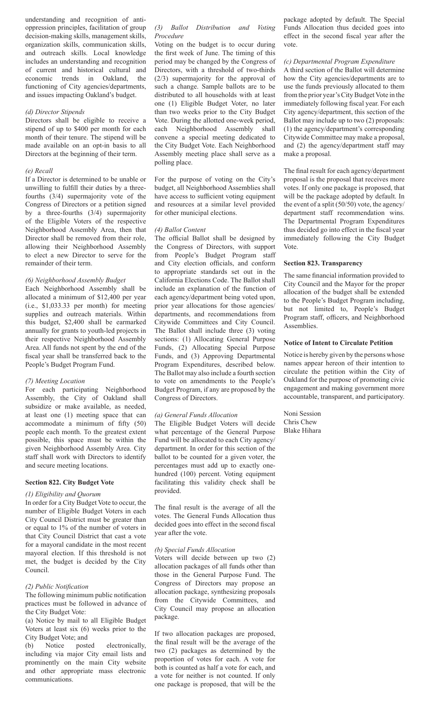understanding and recognition of antioppression principles, facilitation of group decision-making skills, management skills, organization skills, communication skills, and outreach skills. Local knowledge includes an understanding and recognition of current and historical cultural and economic trends in Oakland, the functioning of City agencies/departments, and issues impacting Oakland's budget.

#### *(d) Director Stipends*

Directors shall be eligible to receive a stipend of up to \$400 per month for each month of their tenure. The stipend will be made available on an opt-in basis to all Directors at the beginning of their term.

#### *(e) Recall*

If a Director is determined to be unable or unwilling to fulfill their duties by a threefourths (3/4) supermajority vote of the Congress of Directors or a petition signed by a three-fourths (3/4) supermajority of the Eligible Voters of the respective Neighborhood Assembly Area, then that Director shall be removed from their role, allowing their Neighborhood Assembly to elect a new Director to serve for the remainder of their term.

### *(6) Neighborhood Assembly Budget*

Each Neighborhood Assembly shall be allocated a minimum of \$12,400 per year (i.e., \$1,033.33 per month) for meeting supplies and outreach materials. Within this budget, \$2,400 shall be earmarked annually for grants to youth-led projects in their respective Neighborhood Assembly Area. All funds not spent by the end of the fiscal year shall be transferred back to the People's Budget Program Fund.

### *(7) Meeting Location*

For each participating Neighborhood Assembly, the City of Oakland shall subsidize or make available, as needed, at least one (1) meeting space that can accommodate a minimum of fifty (50) people each month. To the greatest extent possible, this space must be within the given Neighborhood Assembly Area. City staff shall work with Directors to identify and secure meeting locations.

#### **Section 822. City Budget Vote**

#### *(1) Eligibility and Quorum*

In order for a City Budget Vote to occur, the number of Eligible Budget Voters in each City Council District must be greater than or equal to 1% of the number of voters in that City Council District that cast a vote for a mayoral candidate in the most recent mayoral election. If this threshold is not met, the budget is decided by the City Council.

### *(2) Public Notification*

The following minimum public notification practices must be followed in advance of the City Budget Vote:

(a) Notice by mail to all Eligible Budget Voters at least six (6) weeks prior to the City Budget Vote; and

(b) Notice posted electronically, including via major City email lists and prominently on the main City website and other appropriate mass electronic communications.

#### *(3) Ballot Distribution and Voting Procedure*

Voting on the budget is to occur during the first week of June. The timing of this period may be changed by the Congress of Directors, with a threshold of two-thirds (2/3) supermajority for the approval of such a change. Sample ballots are to be distributed to all households with at least one (1) Eligible Budget Voter, no later than two weeks prior to the City Budget Vote. During the allotted one-week period, each Neighborhood Assembly shall convene a special meeting dedicated to the City Budget Vote. Each Neighborhood Assembly meeting place shall serve as a polling place.

For the purpose of voting on the City's budget, all Neighborhood Assemblies shall have access to sufficient voting equipment and resources at a similar level provided for other municipal elections.

#### *(4) Ballot Content*

The official Ballot shall be designed by the Congress of Directors, with support from People's Budget Program staff and City election officials, and conform to appropriate standards set out in the California Elections Code. The Ballot shall include an explanation of the function of each agency/department being voted upon, prior year allocations for those agencies/ departments, and recommendations from Citywide Committees and City Council. The Ballot shall include three (3) voting sections: (1) Allocating General Purpose Funds, (2) Allocating Special Purpose Funds, and (3) Approving Departmental Program Expenditures, described below. The Ballot may also include a fourth section to vote on amendments to the People's Budget Program, if any are proposed by the Congress of Directors.

#### *(a) General Funds Allocation*

The Eligible Budget Voters will decide what percentage of the General Purpose Fund will be allocated to each City agency/ department. In order for this section of the ballot to be counted for a given voter, the percentages must add up to exactly onehundred (100) percent. Voting equipment facilitating this validity check shall be provided.

The final result is the average of all the votes. The General Funds Allocation thus decided goes into effect in the second fiscal year after the vote.

#### *(b) Special Funds Allocation*

Voters will decide between up two (2) allocation packages of all funds other than those in the General Purpose Fund. The Congress of Directors may propose an allocation package, synthesizing proposals from the Citywide Committees, and City Council may propose an allocation package.

If two allocation packages are proposed, the final result will be the average of the two (2) packages as determined by the proportion of votes for each. A vote for both is counted as half a vote for each, and a vote for neither is not counted. If only one package is proposed, that will be the package adopted by default. The Special Funds Allocation thus decided goes into effect in the second fiscal year after the vote.

## *(c) Departmental Program Expenditure*

A third section of the Ballot will determine how the City agencies/departments are to use the funds previously allocated to them from the prior year's City Budget Vote in the immediately following fiscal year. For each City agency/department, this section of the Ballot may include up to two (2) proposals: (1) the agency/department's corresponding Citywide Committee may make a proposal, and (2) the agency/department staff may make a proposal.

The final result for each agency/department proposal is the proposal that receives more votes. If only one package is proposed, that will be the package adopted by default. In the event of a split (50/50) vote, the agency/ department staff recommendation wins. The Departmental Program Expenditures thus decided go into effect in the fiscal year immediately following the City Budget Vote.

#### **Section 823. Transparency**

The same financial information provided to City Council and the Mayor for the proper allocation of the budget shall be extended to the People's Budget Program including, but not limited to, People's Budget Program staff, officers, and Neighborhood Assemblies.

#### **Notice of Intent to Circulate Petition**

Notice is hereby given by the persons whose names appear hereon of their intention to circulate the petition within the City of Oakland for the purpose of promoting civic engagement and making government more accountable, transparent, and participatory.

Noni Session Chris Chew Blake Hihara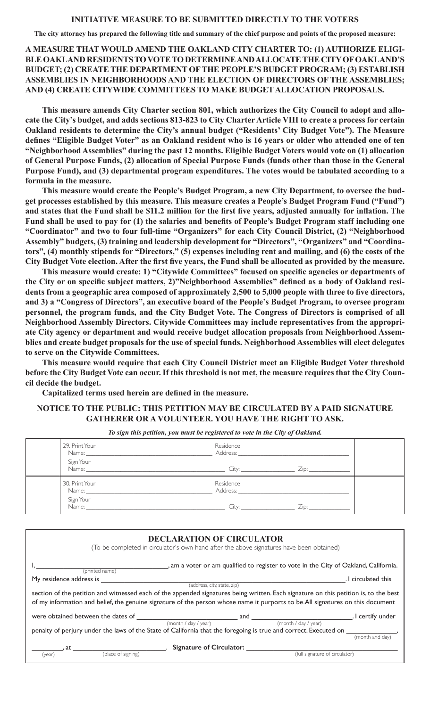**The city attorney has prepared the following title and summary of the chief purpose and points of the proposed measure:**

**A MEASURE THAT WOULD AMEND THE OAKLAND CITY CHARTER TO: (1) AUTHORIZE ELIGI-BLE OAKLAND RESIDENTS TO VOTE TO DETERMINE AND ALLOCATE THE CITY OF OAKLAND'S BUDGET; (2) CREATE THE DEPARTMENT OF THE PEOPLE'S BUDGET PROGRAM; (3) ESTABLISH ASSEMBLIES IN NEIGHBORHOODS AND THE ELECTION OF DIRECTORS OF THE ASSEMBLIES; AND (4) CREATE CITYWIDE COMMITTEES TO MAKE BUDGET ALLOCATION PROPOSALS.** 

**This measure amends City Charter section 801, which authorizes the City Council to adopt and allocate the City's budget, and adds sections 813-823 to City Charter Article VIII to create a process for certain Oakland residents to determine the City's annual budget ("Residents' City Budget Vote"). The Measure defines "Eligible Budget Voter" as an Oakland resident who is 16 years or older who attended one of ten "Neighborhood Assemblies" during the past 12 months. Eligible Budget Voters would vote on (1) allocation of General Purpose Funds, (2) allocation of Special Purpose Funds (funds other than those in the General Purpose Fund), and (3) departmental program expenditures. The votes would be tabulated according to a formula in the measure.** 

**This measure would create the People's Budget Program, a new City Department, to oversee the budget processes established by this measure. This measure creates a People's Budget Program Fund ("Fund") and states that the Fund shall be \$11.2 million for the first five years, adjusted annually for inflation. The Fund shall be used to pay for (1) the salaries and benefits of People's Budget Program staff including one "Coordinator" and two to four full-time "Organizers" for each City Council District, (2) "Neighborhood Assembly" budgets, (3) training and leadership development for "Directors", "Organizers" and "Coordinators", (4) monthly stipends for "Directors," (5) expenses including rent and mailing, and (6) the costs of the City Budget Vote election. After the first five years, the Fund shall be allocated as provided by the measure.** 

**This measure would create: 1) "Citywide Committees" focused on specific agencies or departments of the City or on specific subject matters, 2)"Neighborhood Assemblies" defined as a body of Oakland residents from a geographic area composed of approximately 2,500 to 5,000 people with three to five directors, and 3) a "Congress of Directors", an executive board of the People's Budget Program, to oversee program personnel, the program funds, and the City Budget Vote. The Congress of Directors is comprised of all Neighborhood Assembly Directors. Citywide Committees may include representatives from the appropriate City agency or department and would receive budget allocation proposals from Neighborhood Assemblies and create budget proposals for the use of special funds. Neighborhood Assemblies will elect delegates to serve on the Citywide Committees.** 

**This measure would require that each City Council District meet an Eligible Budget Voter threshold before the City Budget Vote can occur. If this threshold is not met, the measure requires that the City Council decide the budget.** 

**Capitalized terms used herein are defined in the measure.**

# **NOTICE TO THE PUBLIC: THIS PETITION MAY BE CIRCULATED BY A PAID SIGNATURE GATHERER OR A VOLUNTEER. YOU HAVE THE RIGHT TO ASK.**

| 29. Print Your                                                                                                              | Residence                                                                                                                                                                                                                                   |      |  |
|-----------------------------------------------------------------------------------------------------------------------------|---------------------------------------------------------------------------------------------------------------------------------------------------------------------------------------------------------------------------------------------|------|--|
|                                                                                                                             |                                                                                                                                                                                                                                             |      |  |
| 30. Print Your                                                                                                              | Residence<br>Address: the contract of the contract of the contract of the contract of the contract of the contract of the contract of the contract of the contract of the contract of the contract of the contract of the contract of the c |      |  |
| Sign Your<br>Name: 2008 - 2008 - 2010 - 2010 - 2010 - 2010 - 2010 - 2010 - 2010 - 2010 - 2010 - 2010 - 2010 - 2010 - 2010 - | $\overline{\phantom{a}}$ City:                                                                                                                                                                                                              | Zip: |  |

*To sign this petition, you must be registered to vote in the City of Oakland.*

| , am a voter or am qualified to register to vote in the City of Oakland, California.                                                                                                                                                                                   |
|------------------------------------------------------------------------------------------------------------------------------------------------------------------------------------------------------------------------------------------------------------------------|
| . I circulated this                                                                                                                                                                                                                                                    |
|                                                                                                                                                                                                                                                                        |
| section of the petition and witnessed each of the appended signatures being written. Each signature on this petition is, to the best<br>of my information and belief, the genuine signature of the person whose name it purports to be.All signatures on this document |
| . I certify under                                                                                                                                                                                                                                                      |
|                                                                                                                                                                                                                                                                        |
|                                                                                                                                                                                                                                                                        |
| (month and day                                                                                                                                                                                                                                                         |
|                                                                                                                                                                                                                                                                        |
|                                                                                                                                                                                                                                                                        |
|                                                                                                                                                                                                                                                                        |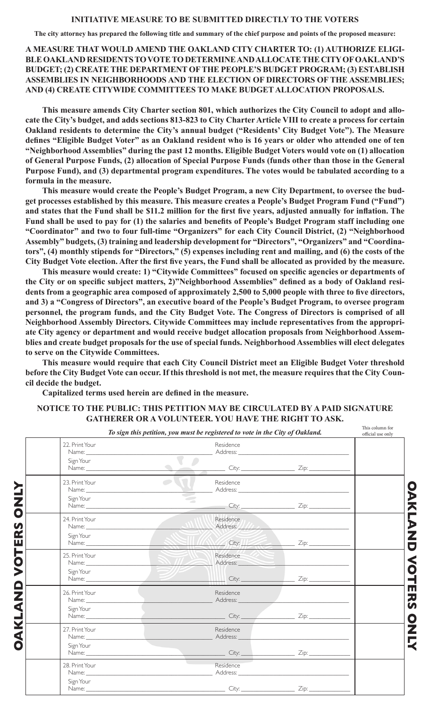**The city attorney has prepared the following title and summary of the chief purpose and points of the proposed measure:**

**A MEASURE THAT WOULD AMEND THE OAKLAND CITY CHARTER TO: (1) AUTHORIZE ELIGI-BLE OAKLAND RESIDENTS TO VOTE TO DETERMINE AND ALLOCATE THE CITY OF OAKLAND'S BUDGET; (2) CREATE THE DEPARTMENT OF THE PEOPLE'S BUDGET PROGRAM; (3) ESTABLISH ASSEMBLIES IN NEIGHBORHOODS AND THE ELECTION OF DIRECTORS OF THE ASSEMBLIES; AND (4) CREATE CITYWIDE COMMITTEES TO MAKE BUDGET ALLOCATION PROPOSALS.** 

**This measure amends City Charter section 801, which authorizes the City Council to adopt and allocate the City's budget, and adds sections 813-823 to City Charter Article VIII to create a process for certain Oakland residents to determine the City's annual budget ("Residents' City Budget Vote"). The Measure defines "Eligible Budget Voter" as an Oakland resident who is 16 years or older who attended one of ten "Neighborhood Assemblies" during the past 12 months. Eligible Budget Voters would vote on (1) allocation of General Purpose Funds, (2) allocation of Special Purpose Funds (funds other than those in the General Purpose Fund), and (3) departmental program expenditures. The votes would be tabulated according to a formula in the measure.** 

**This measure would create the People's Budget Program, a new City Department, to oversee the budget processes established by this measure. This measure creates a People's Budget Program Fund ("Fund") and states that the Fund shall be \$11.2 million for the first five years, adjusted annually for inflation. The Fund shall be used to pay for (1) the salaries and benefits of People's Budget Program staff including one "Coordinator" and two to four full-time "Organizers" for each City Council District, (2) "Neighborhood Assembly" budgets, (3) training and leadership development for "Directors", "Organizers" and "Coordinators", (4) monthly stipends for "Directors," (5) expenses including rent and mailing, and (6) the costs of the City Budget Vote election. After the first five years, the Fund shall be allocated as provided by the measure.** 

**This measure would create: 1) "Citywide Committees" focused on specific agencies or departments of the City or on specific subject matters, 2)"Neighborhood Assemblies" defined as a body of Oakland residents from a geographic area composed of approximately 2,500 to 5,000 people with three to five directors, and 3) a "Congress of Directors", an executive board of the People's Budget Program, to oversee program personnel, the program funds, and the City Budget Vote. The Congress of Directors is comprised of all Neighborhood Assembly Directors. Citywide Committees may include representatives from the appropriate City agency or department and would receive budget allocation proposals from Neighborhood Assemblies and create budget proposals for the use of special funds. Neighborhood Assemblies will elect delegates to serve on the Citywide Committees.** 

**This measure would require that each City Council District meet an Eligible Budget Voter threshold before the City Budget Vote can occur. If this threshold is not met, the measure requires that the City Council decide the budget.** 

**Capitalized terms used herein are defined in the measure.**

|                                                                                                                                                                                                                                                 | To sign this petition, you must be registered to vote in the City of Oakland.                                                                                                                                                              | official use only |
|-------------------------------------------------------------------------------------------------------------------------------------------------------------------------------------------------------------------------------------------------|--------------------------------------------------------------------------------------------------------------------------------------------------------------------------------------------------------------------------------------------|-------------------|
| 22. Print Your                                                                                                                                                                                                                                  | Residence                                                                                                                                                                                                                                  |                   |
| Sign Your                                                                                                                                                                                                                                       | $\bullet$<br>Name: <u>City:</u> City: <u>City: Zip:</u> Zip:                                                                                                                                                                               |                   |
| 23. Print Your                                                                                                                                                                                                                                  | $\overline{\phantom{a}}$<br>Residence<br>$\frac{1}{\sqrt{2}}$                                                                                                                                                                              |                   |
| Sign Your                                                                                                                                                                                                                                       | $\sim$<br>Name: <u>City:</u> City: <u>City: Zip:</u> Zip:                                                                                                                                                                                  |                   |
| 24. Print Your<br>Name: Name: Name: Name: Name: Name: Name: Name: Name: Name: Name: Name: Name: Name: Name: Name: Name: Name: Name: Name: Name: Name: Name: Name: Name: Name: Name: Name: Name: Name: Name: Name: Name: Name: Name: Name: Name: | Residence                                                                                                                                                                                                                                  |                   |
| Sign Your                                                                                                                                                                                                                                       |                                                                                                                                                                                                                                            |                   |
| 25. Print Your                                                                                                                                                                                                                                  | Residence<br>Name: Address: Address: Address: Address: Address: Address: Address: Address: Address: Address: Address: Address: Address: Address: Address: Address: Address: Address: Address: Address: Address: Address: Address: Address: |                   |
| Sign Your                                                                                                                                                                                                                                       | Name: <u>Zip: Zip:</u> Zip: 211                                                                                                                                                                                                            |                   |
| 26. Print Your                                                                                                                                                                                                                                  | Residence<br>Name: Address: Address: Address: Address: Address: Address: Address: Address: Address: Address: Address: Address: Address: Address: Address: Address: Address: Address: Address: Address: Address: Address: Address: Address: |                   |
| Sign Your                                                                                                                                                                                                                                       |                                                                                                                                                                                                                                            |                   |
| 27. Print Your                                                                                                                                                                                                                                  | Residence                                                                                                                                                                                                                                  |                   |
| Sign Your                                                                                                                                                                                                                                       | Name: <u>City: City: City: Zip:</u>                                                                                                                                                                                                        |                   |
| 28. Print Your                                                                                                                                                                                                                                  | Residence                                                                                                                                                                                                                                  |                   |
| Sign Your                                                                                                                                                                                                                                       | Name: <u>City:</u> Zip: 2010.                                                                                                                                                                                                              |                   |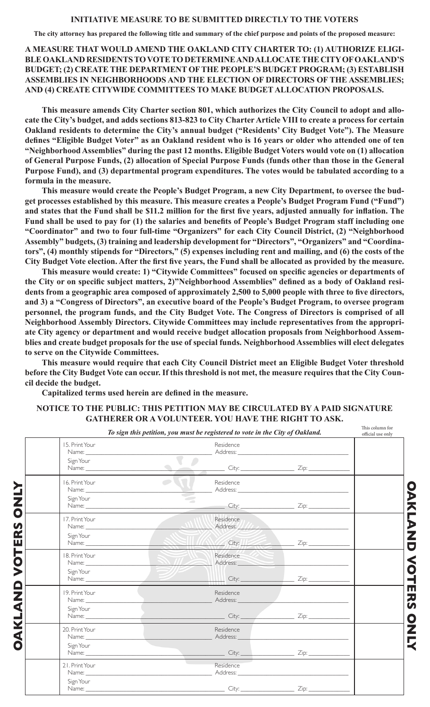**The city attorney has prepared the following title and summary of the chief purpose and points of the proposed measure:**

**A MEASURE THAT WOULD AMEND THE OAKLAND CITY CHARTER TO: (1) AUTHORIZE ELIGI-BLE OAKLAND RESIDENTS TO VOTE TO DETERMINE AND ALLOCATE THE CITY OF OAKLAND'S BUDGET; (2) CREATE THE DEPARTMENT OF THE PEOPLE'S BUDGET PROGRAM; (3) ESTABLISH ASSEMBLIES IN NEIGHBORHOODS AND THE ELECTION OF DIRECTORS OF THE ASSEMBLIES; AND (4) CREATE CITYWIDE COMMITTEES TO MAKE BUDGET ALLOCATION PROPOSALS.** 

**This measure amends City Charter section 801, which authorizes the City Council to adopt and allocate the City's budget, and adds sections 813-823 to City Charter Article VIII to create a process for certain Oakland residents to determine the City's annual budget ("Residents' City Budget Vote"). The Measure defines "Eligible Budget Voter" as an Oakland resident who is 16 years or older who attended one of ten "Neighborhood Assemblies" during the past 12 months. Eligible Budget Voters would vote on (1) allocation of General Purpose Funds, (2) allocation of Special Purpose Funds (funds other than those in the General Purpose Fund), and (3) departmental program expenditures. The votes would be tabulated according to a formula in the measure.** 

**This measure would create the People's Budget Program, a new City Department, to oversee the budget processes established by this measure. This measure creates a People's Budget Program Fund ("Fund") and states that the Fund shall be \$11.2 million for the first five years, adjusted annually for inflation. The Fund shall be used to pay for (1) the salaries and benefits of People's Budget Program staff including one "Coordinator" and two to four full-time "Organizers" for each City Council District, (2) "Neighborhood Assembly" budgets, (3) training and leadership development for "Directors", "Organizers" and "Coordinators", (4) monthly stipends for "Directors," (5) expenses including rent and mailing, and (6) the costs of the City Budget Vote election. After the first five years, the Fund shall be allocated as provided by the measure.** 

**This measure would create: 1) "Citywide Committees" focused on specific agencies or departments of the City or on specific subject matters, 2)"Neighborhood Assemblies" defined as a body of Oakland residents from a geographic area composed of approximately 2,500 to 5,000 people with three to five directors, and 3) a "Congress of Directors", an executive board of the People's Budget Program, to oversee program personnel, the program funds, and the City Budget Vote. The Congress of Directors is comprised of all Neighborhood Assembly Directors. Citywide Committees may include representatives from the appropriate City agency or department and would receive budget allocation proposals from Neighborhood Assemblies and create budget proposals for the use of special funds. Neighborhood Assemblies will elect delegates to serve on the Citywide Committees.** 

**This measure would require that each City Council District meet an Eligible Budget Voter threshold before the City Budget Vote can occur. If this threshold is not met, the measure requires that the City Council decide the budget.** 

**Capitalized terms used herein are defined in the measure.**

| 15. Print Your |                                                                                                                                                                                                                                                                                                                                                                                                                               | To sign this petition, you must be registered to vote in the City of Oakland.<br>Residence                                                                                                                                                 |                                                                                                                                                                                                                                      | official use only |
|----------------|-------------------------------------------------------------------------------------------------------------------------------------------------------------------------------------------------------------------------------------------------------------------------------------------------------------------------------------------------------------------------------------------------------------------------------|--------------------------------------------------------------------------------------------------------------------------------------------------------------------------------------------------------------------------------------------|--------------------------------------------------------------------------------------------------------------------------------------------------------------------------------------------------------------------------------------|-------------------|
| Sign Your      |                                                                                                                                                                                                                                                                                                                                                                                                                               | $\bullet$<br>Name: <u>City: Zip: Zip: Zip: 21</u>                                                                                                                                                                                          |                                                                                                                                                                                                                                      |                   |
| 16. Print Your | $\overline{\phantom{a}}$                                                                                                                                                                                                                                                                                                                                                                                                      | Residence                                                                                                                                                                                                                                  |                                                                                                                                                                                                                                      |                   |
| Sign Your      |                                                                                                                                                                                                                                                                                                                                                                                                                               | $\Rightarrow$                                                                                                                                                                                                                              |                                                                                                                                                                                                                                      |                   |
| 17. Print Your |                                                                                                                                                                                                                                                                                                                                                                                                                               | Residence                                                                                                                                                                                                                                  |                                                                                                                                                                                                                                      |                   |
| Sign Your      |                                                                                                                                                                                                                                                                                                                                                                                                                               |                                                                                                                                                                                                                                            |                                                                                                                                                                                                                                      |                   |
| 18. Print Your | Name: $\frac{1}{\sqrt{1-\frac{1}{\sqrt{1-\frac{1}{\sqrt{1-\frac{1}{\sqrt{1-\frac{1}{\sqrt{1-\frac{1}{\sqrt{1-\frac{1}{\sqrt{1-\frac{1}{\sqrt{1-\frac{1}{\sqrt{1-\frac{1}{\sqrt{1-\frac{1}{\sqrt{1-\frac{1}{\sqrt{1-\frac{1}{\sqrt{1-\frac{1}{\sqrt{1-\frac{1}{\sqrt{1-\frac{1}{\sqrt{1-\frac{1}{\sqrt{1-\frac{1}{\sqrt{1-\frac{1}{\sqrt{1-\frac{1}{\sqrt{1-\frac{1}{\sqrt{1-\frac{1}{\sqrt{1-\frac{1}{\sqrt{1-\frac{1}{\sqrt$ | Residence                                                                                                                                                                                                                                  | Address: <u>Contract of the Contract of the Contract of the Contract of the Contract of the Contract of the Contract of the Contract of the Contract of the Contract of the Contract of the Contract of the Contract of the Cont</u> |                   |
| Sign Your      |                                                                                                                                                                                                                                                                                                                                                                                                                               |                                                                                                                                                                                                                                            |                                                                                                                                                                                                                                      |                   |
| 19. Print Your |                                                                                                                                                                                                                                                                                                                                                                                                                               | Residence                                                                                                                                                                                                                                  |                                                                                                                                                                                                                                      |                   |
| Sign Your      |                                                                                                                                                                                                                                                                                                                                                                                                                               | Name: <u>City:</u> City: <u>City: Zip:</u> 2011.                                                                                                                                                                                           |                                                                                                                                                                                                                                      |                   |
| 20. Print Your |                                                                                                                                                                                                                                                                                                                                                                                                                               | Residence<br>Name: Name: Name: Name: Name: Name: Name: Name: Name: Name: Name: Name: Name: Name: Name: Name: Name: Name: Name: Name: Name: Name: Name: Name: Name: Name: Name: Name: Name: Name: Name: Name: Name: Name: Name: Name: Name: |                                                                                                                                                                                                                                      |                   |
| Sign Your      |                                                                                                                                                                                                                                                                                                                                                                                                                               | City: City: <u>City: Zip: Zip: Zip: 21</u>                                                                                                                                                                                                 |                                                                                                                                                                                                                                      |                   |
| 21. Print Your |                                                                                                                                                                                                                                                                                                                                                                                                                               | Residence<br>Name: Address: Address: Address: Address: Address: Address: Address: Address: Address: Address: Address: Address: Address: Address: Address: Address: Address: Address: Address: Address: Address: Address: Address: Address: |                                                                                                                                                                                                                                      |                   |
| Sign Your      |                                                                                                                                                                                                                                                                                                                                                                                                                               |                                                                                                                                                                                                                                            |                                                                                                                                                                                                                                      |                   |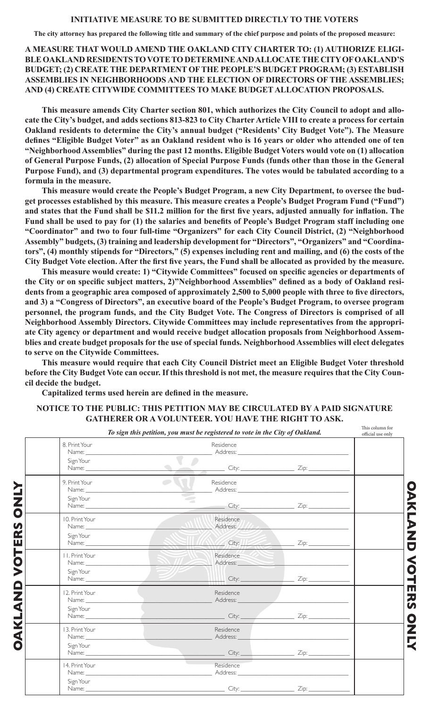**The city attorney has prepared the following title and summary of the chief purpose and points of the proposed measure:**

**A MEASURE THAT WOULD AMEND THE OAKLAND CITY CHARTER TO: (1) AUTHORIZE ELIGI-BLE OAKLAND RESIDENTS TO VOTE TO DETERMINE AND ALLOCATE THE CITY OF OAKLAND'S BUDGET; (2) CREATE THE DEPARTMENT OF THE PEOPLE'S BUDGET PROGRAM; (3) ESTABLISH ASSEMBLIES IN NEIGHBORHOODS AND THE ELECTION OF DIRECTORS OF THE ASSEMBLIES; AND (4) CREATE CITYWIDE COMMITTEES TO MAKE BUDGET ALLOCATION PROPOSALS.** 

**This measure amends City Charter section 801, which authorizes the City Council to adopt and allocate the City's budget, and adds sections 813-823 to City Charter Article VIII to create a process for certain Oakland residents to determine the City's annual budget ("Residents' City Budget Vote"). The Measure defines "Eligible Budget Voter" as an Oakland resident who is 16 years or older who attended one of ten "Neighborhood Assemblies" during the past 12 months. Eligible Budget Voters would vote on (1) allocation of General Purpose Funds, (2) allocation of Special Purpose Funds (funds other than those in the General Purpose Fund), and (3) departmental program expenditures. The votes would be tabulated according to a formula in the measure.** 

**This measure would create the People's Budget Program, a new City Department, to oversee the budget processes established by this measure. This measure creates a People's Budget Program Fund ("Fund") and states that the Fund shall be \$11.2 million for the first five years, adjusted annually for inflation. The Fund shall be used to pay for (1) the salaries and benefits of People's Budget Program staff including one "Coordinator" and two to four full-time "Organizers" for each City Council District, (2) "Neighborhood Assembly" budgets, (3) training and leadership development for "Directors", "Organizers" and "Coordinators", (4) monthly stipends for "Directors," (5) expenses including rent and mailing, and (6) the costs of the City Budget Vote election. After the first five years, the Fund shall be allocated as provided by the measure.** 

**This measure would create: 1) "Citywide Committees" focused on specific agencies or departments of the City or on specific subject matters, 2)"Neighborhood Assemblies" defined as a body of Oakland residents from a geographic area composed of approximately 2,500 to 5,000 people with three to five directors, and 3) a "Congress of Directors", an executive board of the People's Budget Program, to oversee program personnel, the program funds, and the City Budget Vote. The Congress of Directors is comprised of all Neighborhood Assembly Directors. Citywide Committees may include representatives from the appropriate City agency or department and would receive budget allocation proposals from Neighborhood Assemblies and create budget proposals for the use of special funds. Neighborhood Assemblies will elect delegates to serve on the Citywide Committees.** 

**This measure would require that each City Council District meet an Eligible Budget Voter threshold before the City Budget Vote can occur. If this threshold is not met, the measure requires that the City Council decide the budget.** 

**Capitalized terms used herein are defined in the measure.**

|                                                                                                                                                                                                                                                                     | To sign this petition, you must be registered to vote in the City of Oakland.                                                                                                                                                                                                                                                                                                                                                                                          |                                                                                                                                                                                                                               | This column for<br>official use only |
|---------------------------------------------------------------------------------------------------------------------------------------------------------------------------------------------------------------------------------------------------------------------|------------------------------------------------------------------------------------------------------------------------------------------------------------------------------------------------------------------------------------------------------------------------------------------------------------------------------------------------------------------------------------------------------------------------------------------------------------------------|-------------------------------------------------------------------------------------------------------------------------------------------------------------------------------------------------------------------------------|--------------------------------------|
| 8. Print Your<br>Sign Your                                                                                                                                                                                                                                          | Residence<br>$\bullet$<br>Name: <u>City:</u> Zip: <u>Zip:</u>                                                                                                                                                                                                                                                                                                                                                                                                          |                                                                                                                                                                                                                               |                                      |
| 9. Print Your<br>Sign Your                                                                                                                                                                                                                                          | $\overline{\phantom{a}}$<br>Residence<br>Š<br>$\sim$<br>Name: <u>City:</u> City: <u>City: Zip:</u> Zip:                                                                                                                                                                                                                                                                                                                                                                |                                                                                                                                                                                                                               |                                      |
| 10. Print Your<br>Sign Your                                                                                                                                                                                                                                         | Residence                                                                                                                                                                                                                                                                                                                                                                                                                                                              |                                                                                                                                                                                                                               |                                      |
| II. Print Your<br>Sign Your                                                                                                                                                                                                                                         | Residence<br>Name: $\frac{1}{\sqrt{1-\frac{1}{2}}\sqrt{1-\frac{1}{2}}\sqrt{1-\frac{1}{2}}\sqrt{1-\frac{1}{2}}\sqrt{1-\frac{1}{2}}\sqrt{1-\frac{1}{2}}\sqrt{1-\frac{1}{2}}\sqrt{1-\frac{1}{2}}\sqrt{1-\frac{1}{2}}\sqrt{1-\frac{1}{2}}\sqrt{1-\frac{1}{2}}\sqrt{1-\frac{1}{2}}\sqrt{1-\frac{1}{2}}\sqrt{1-\frac{1}{2}}\sqrt{1-\frac{1}{2}}\sqrt{1-\frac{1}{2}}\sqrt{1-\frac{1}{2}}\sqrt{1-\frac{1}{2}}\sqrt{1-\frac{1}{2}}$<br>Name: <u>Zip:</u> City: <u>Zip:</u> Zip: | Address: New York Street, New York Street, New York Street, New York Street, New York Street, New York Street, New York Street, New York Street, New York Street, New York Street, New York Street, New York Street, New York |                                      |
| 12. Print Your<br>Sign Your                                                                                                                                                                                                                                         | Residence<br>Name: Address: Address:<br>Name: <u>City:</u> City: <u>City: Zip:</u> City: 2014                                                                                                                                                                                                                                                                                                                                                                          |                                                                                                                                                                                                                               |                                      |
| 13. Print Your<br>Sign Your<br>Name: <u>University of the Second Community of the Second Community of the Second Community of the Second Community of the Second Community of the Second Community of the Second Community of the Second Community of the Secon</u> | Residence<br>Name: Name and the state of the state of the state of the state of the state of the state of the state of the state of the state of the state of the state of the state of the state of the state of the state of the state of<br>Address:                                                                                                                                                                                                                |                                                                                                                                                                                                                               |                                      |
| 14. Print Your<br>Sign Your                                                                                                                                                                                                                                         | Residence<br>Name: Address: Address: Address: Address: Address: Address: Address: Address: Address: Address: Address: Address: Address: Address: Address: Address: Address: Address: Address: Address: Address: Address: Address: Address:                                                                                                                                                                                                                             |                                                                                                                                                                                                                               |                                      |